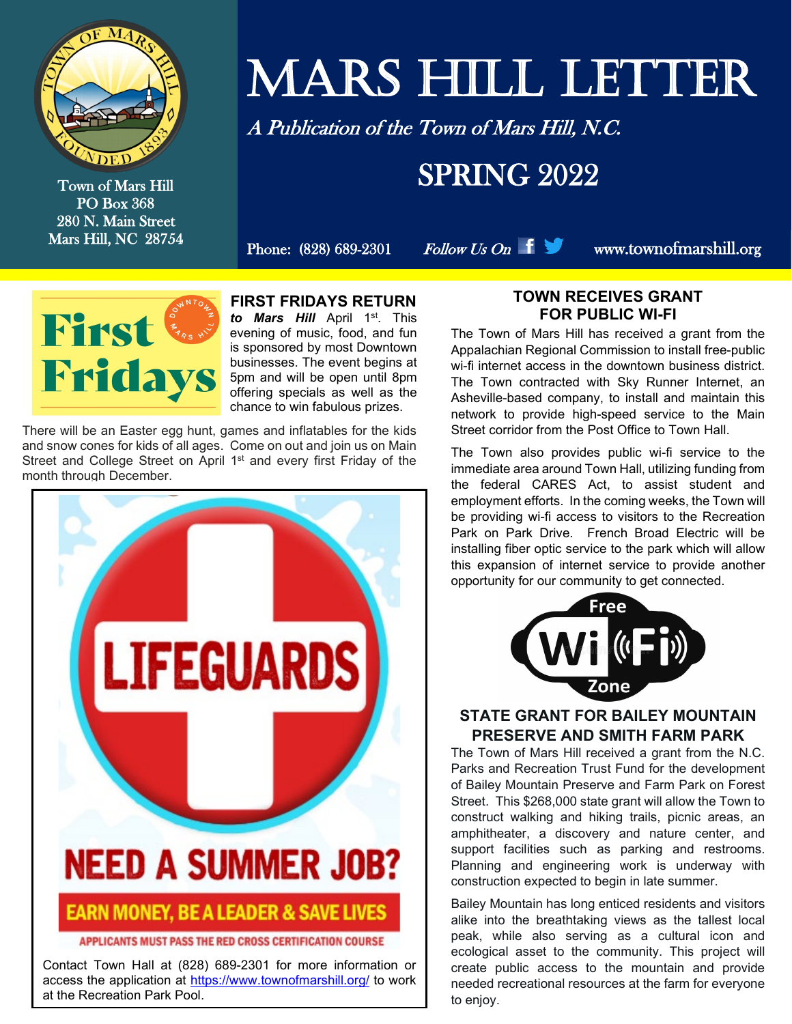

Town of Mars Hill PO Box 368 280 N. Main Street Mars Hill, NC 28754

# MARS HILL LETTER

A Publication of the Town of Mars Hill, N.C.

### **SPRING 2022**

Phone:  $(828) 689-2301$  Follow Us On  $\parallel \Box$  www.townofmarshill.org



**FIRST FRIDAYS RETURN** *to Mars Hill* April 1st. This evening of music, food, and fun is sponsored by most Downtown businesses. The event begins at 5pm and will be open until 8pm offering specials as well as the chance to win fabulous prizes.

There will be an Easter egg hunt, games and inflatables for the kids and snow cones for kids of all ages. Come on out and join us on Main Street and College Street on April 1<sup>st</sup> and every first Friday of the month through December.



#### APPLICANTS MUST PASS THE RED CROSS CERTIFICATION COURSE

Contact Town Hall at (828) 689-2301 for more information or access the application at<https://www.townofmarshill.org/> to work at the Recreation Park Pool.

#### **TOWN RECEIVES GRANT FOR PUBLIC WI-FI**

The Town of Mars Hill has received a grant from the Appalachian Regional Commission to install free-public wi-fi internet access in the downtown business district. The Town contracted with Sky Runner Internet, an Asheville-based company, to install and maintain this network to provide high-speed service to the Main Street corridor from the Post Office to Town Hall.

The Town also provides public wi-fi service to the immediate area around Town Hall, utilizing funding from the federal CARES Act, to assist student and employment efforts. In the coming weeks, the Town will be providing wi-fi access to visitors to the Recreation Park on Park Drive. French Broad Electric will be installing fiber optic service to the park which will allow this expansion of internet service to provide another opportunity for our community to get connected.



#### **STATE GRANT FOR BAILEY MOUNTAIN PRESERVE AND SMITH FARM PARK**

The Town of Mars Hill received a grant from the N.C. Parks and Recreation Trust Fund for the development of Bailey Mountain Preserve and Farm Park on Forest Street. This \$268,000 state grant will allow the Town to construct walking and hiking trails, picnic areas, an amphitheater, a discovery and nature center, and support facilities such as parking and restrooms. Planning and engineering work is underway with construction expected to begin in late summer.

Bailey Mountain has long enticed residents and visitors alike into the breathtaking views as the tallest local peak, while also serving as a cultural icon and ecological asset to the community. This project will create public access to the mountain and provide needed recreational resources at the farm for everyone to enjoy.